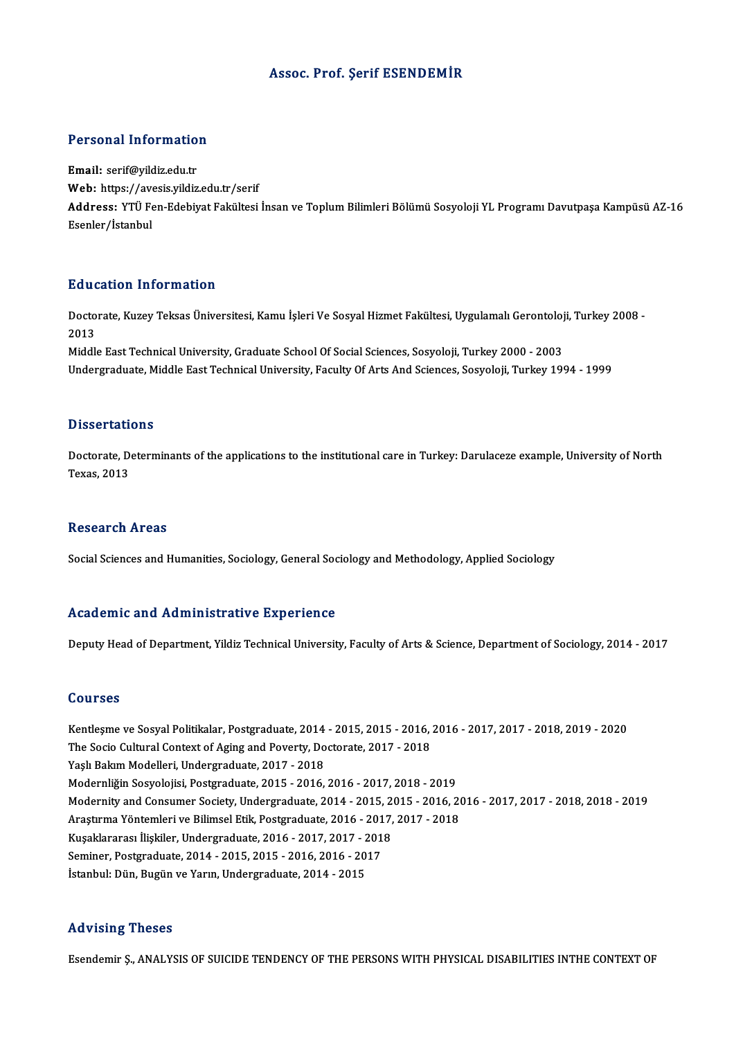#### Assoc. Prof. Şerif ESENDEMİR

#### Personal Information

Email: serif@yildiz.edu.tr r ereenar meer maaren<br>Email: serif@yildiz.edu.tr<br>Web: https://avesis.yildiz.edu.tr/serif<br>Address. YTÜ Een Edebiyet Feltültesi Address: YTÜ Fen-Edebiyat Fakültesi İnsan ve Toplum Bilimleri Bölümü Sosyoloji YL Programı Davutpaşa Kampüsü AZ-16<br>Esenler/İstanbul Web: https://av<br>Address: YTÜ Fe<br>Esenler/İstanbul

#### Education Information

**Education Information**<br>Doctorate, Kuzey Teksas Üniversitesi, Kamu İşleri Ve Sosyal Hizmet Fakültesi, Uygulamalı Gerontoloji, Turkey 2008 -<br>2013 Data<br>Docto<br>2013<br>Middl Doctorate, Kuzey Teksas Üniversitesi, Kamu İşleri Ve Sosyal Hizmet Fakültesi, Uygulamalı Gerontoloj<br>2013<br>Middle East Technical University, Graduate School Of Social Sciences, Sosyoloji, Turkey 2000 - 2003<br>Undergraduate Mid

2013<br>Middle East Technical University, Graduate School Of Social Sciences, Sosyoloji, Turkey 2000 - 2003<br>Undergraduate, Middle East Technical University, Faculty Of Arts And Sciences, Sosyoloji, Turkey 1994 - 1999

#### **Dissertations**

Dissertations<br>Doctorate, Determinants of the applications to the institutional care in Turkey: Darulaceze example, University of North<br>Taves, 2012 Dissertation<br>Doctorate, De<br>Texas, 2013 Texas, 2013<br>Research Areas

Social Sciences and Humanities, Sociology, General Sociology and Methodology, Applied Sociology

#### Academic and Administrative Experience

Deputy Head of Department, Yildiz Technical University, Faculty of Arts & Science, Department of Sociology, 2014 - 2017

#### Courses

Kentleşme ve SosyalPolitikalar,Postgraduate,2014 -2015,2015 -2016,2016 -2017,2017 -2018,2019 -2020 Sources<br>Kentleşme ve Sosyal Politikalar, Postgraduate, 2014 - 2015, 2015 - 2016,<br>The Socio Cultural Context of Aging and Poverty, Doctorate, 2017 - 2018<br>Yaslı Palam Modelleri, Undergraduate, 2017 - 2019 Kentleşme ve Sosyal Politikalar, Postgraduate, 2014<br>The Socio Cultural Context of Aging and Poverty, Do<br>Yaşlı Bakım Modelleri, Undergraduate, 2017 - 2018<br>Modernliğin Sosyalejisi, Postgraduate, 2015 - 2016 Yaşlı Bakım Modelleri, Undergraduate, 2017 - 2018<br>Modernliğin Sosyolojisi, Postgraduate, 2015 - 2016, 2016 - 2017, 2018 - 2019 Yaşlı Bakım Modelleri, Undergraduate, 2017 - 2018<br>Modernliğin Sosyolojisi, Postgraduate, 2015 - 2016, 2016 - 2017, 2018 - 2019<br>Modernity and Consumer Society, Undergraduate, 2014 - 2015, 2015 - 2016, 2016 - 2017, 2017 - 20 Modernliğin Sosyolojisi, Postgraduate, 2015 - 2016, 2016 - 2017, 2018 - 2019<br>Modernity and Consumer Society, Undergraduate, 2014 - 2015, 2015 - 2016, 20<br>Araştırma Yöntemleri ve Bilimsel Etik, Postgraduate, 2016 - 2017, 201 Modernity and Consumer Society, Undergraduate, 2014 - 2015, 2<br>Araştırma Yöntemleri ve Bilimsel Etik, Postgraduate, 2016 - 2017,<br>Kuşaklararası İlişkiler, Undergraduate, 2016 - 2017, 2017 - 2018<br>Seminer, Bostgraduate, 2014, Araştırma Yöntemleri ve Bilimsel Etik, Postgraduate, 2016 - 201<br>Kuşaklararası İlişkiler, Undergraduate, 2016 - 2017, 2017 - 201<br>Seminer, Postgraduate, 2014 - 2015, 2015 - 2016, 2016 - 2017<br>İstanbul: Dün, Pugün ve Yarın, Un Kuşaklararası İlişkiler, Undergraduate, 2016 - 2017, 2017 - 2<br>Seminer, Postgraduate, 2014 - 2015, 2015 - 2016, 2016 - 20<br>İstanbul: Dün, Bugün ve Yarın, Undergraduate, 2014 - 2015 İstanbul: Dün, Bugün ve Yarın, Undergraduate, 2014 - 2015<br>Advising Theses

Esendemir Ş.,ANALYSISOF SUICIDETENDENCYOF THEPERSONSWITHPHYSICALDISABILITIES INTHECONTEXTOF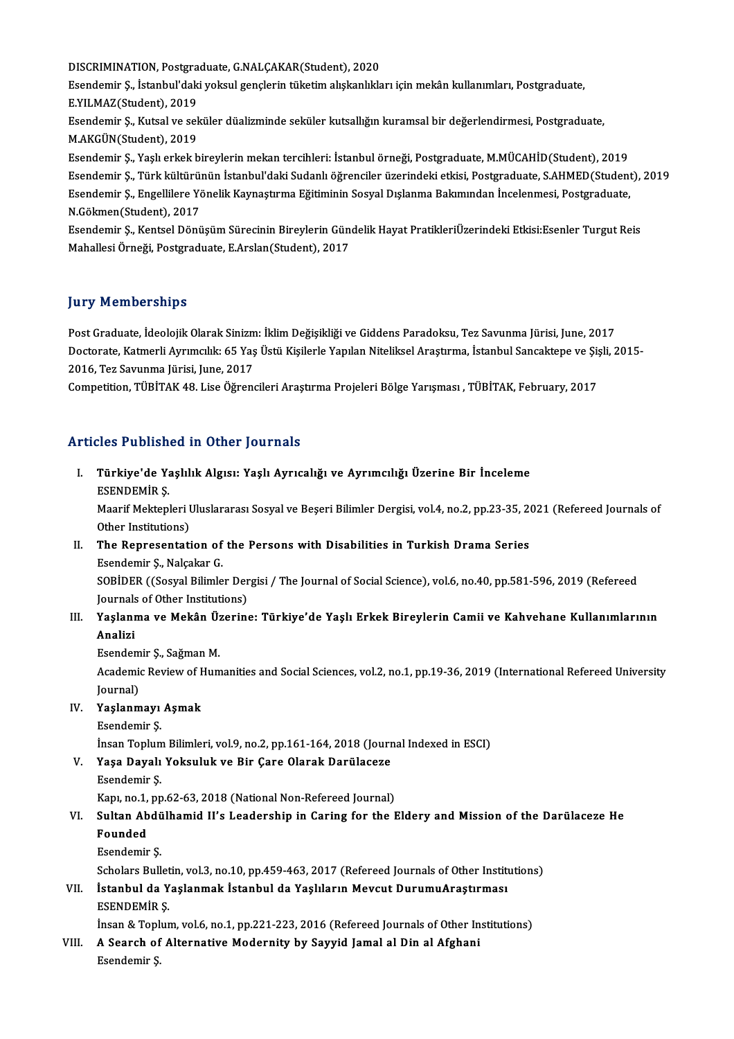DISCRIMINATION,Postgraduate,G.NALÇAKAR(Student),2020 Esendemir Ş., İstanbul'daki yoksul gençlerin tüketim alışkanlıkları için mekân kullanımları, Postgraduate,<br>E.YILMAZ(Student), 2019 DISCRIMINATION, Postgra<br>Esendemir Ş., İstanbul'dak<br>E.YILMAZ(Student), 2019<br>Feendemir S., Kutsel ve sel Esendemir Ş., İstanbul'daki yoksul gençlerin tüketim alışkanlıkları için mekân kullanımları, Postgraduate,<br>E.YILMAZ(Student), 2019<br>Esendemir Ş., Kutsal ve seküler düalizminde seküler kutsallığın kuramsal bir değerlendirmes E.YILMAZ(Student), 2019<br>Esendemir Ş., Kutsal ve sel<br>M.AKGÜN(Student), 2019<br>Esendemir S. Yaslı erkek b M.AKGÜN(Student), 2019<br>Esendemir Ş., Yaşlı erkek bireylerin mekan tercihleri: İstanbul örneği, Postgraduate, M.MÜCAHİD(Student), 2019 M.AKGÜN(Student), 2019<br>Esendemir Ş., Yaşlı erkek bireylerin mekan tercihleri: İstanbul örneği, Postgraduate, M.MÜCAHİD(Student), 2019<br>Esendemir Ş., Türk kültürünün İstanbul'daki Sudanlı öğrenciler üzerindeki etkisi, Postgr Esendemir Ş., Yaşlı erkek bireylerin mekan tercihleri: İstanbul örneği, Postgraduate, M.MÜCAHİD(Student), 2019<br>Esendemir Ş., Türk kültürünün İstanbul'daki Sudanlı öğrenciler üzerindeki etkisi, Postgraduate, S.AHMED(Student Esendemir Ş., Türk kültürü<br>Esendemir Ş., Engellilere Yo<br>N.Gökmen(Student), 2017<br>Esendemir S. Kentsel Dönü Esendemir Ş., Engellilere Yönelik Kaynaştırma Eğitiminin Sosyal Dışlanma Bakımından İncelenmesi, Postgraduate,<br>N.Gökmen(Student), 2017<br>Esendemir Ş., Kentsel Dönüşüm Sürecinin Bireylerin Gündelik Hayat PratikleriÜzerindeki N.Gökmen(Student), 2017<br>Esendemir Ş., Kentsel Dönüşüm Sürecinin Bireylerin Gün<br>Mahallesi Örneği, Postgraduate, E.Arslan(Student), 2017

# Mahallesi Örneği, Postgraduate, E.Arslan(Student), 2017<br>Jury Memberships

Post Graduate, İdeolojik Olarak Sinizm: İklim Değişikliği ve Giddens Paradoksu, Tez Savunma Jürisi, June, 2017 yar y "Atemberlempe<br>Post Graduate, İdeolojik Olarak Sinizm: İklim Değişikliği ve Giddens Paradoksu, Tez Savunma Jürisi, June, 2017<br>Doctorate, Katmerli Ayrımcılık: 65 Yaş Üstü Kişilerle Yapılan Niteliksel Araştırma, İstanbu Post Graduate, İdeolojik Olarak Sinizm<br>Doctorate, Katmerli Ayrımcılık: 65 Yaş<br>2016, Tez Savunma Jürisi, June, 2017<br>Cempetition, TÜPİTAK 48, Lise Öğrene Doctorate, Katmerli Ayrımcılık: 65 Yaş Üstü Kişilerle Yapılan Niteliksel Araştırma, İstanbul Sancaktepe ve Şiş<br>2016, Tez Savunma Jürisi, June, 2017<br>Competition, TÜBİTAK 48. Lise Öğrencileri Araştırma Projeleri Bölge Yarışm

Competition, TÜBİTAK 48. Lise Öğrencileri Araştırma Projeleri Bölge Yarışması , TÜBİTAK, February, 2017<br>Articles Published in Other Journals

rticles Published in Other Journals<br>I. Türkiye'de Yaşlılık Algısı: Yaşlı Ayrıcalığı ve Ayrımcılığı Üzerine Bir İnceleme<br>REENDEMİR S Türkiye'de Ya<br>Türkiye'de Ya<br>ESENDEMİR Ş. Türkiye'de Yaşlılık Algısı: Yaşlı Ayrıcalığı ve Ayrımcılığı Üzerine Bir İnceleme<br>ESENDEMİR Ş.<br>Maarif Mektepleri Uluslararası Sosyal ve Beşeri Bilimler Dergisi, vol.4, no.2, pp.23-35, 2021 (Refereed Journals of ESENDEMİR Ş.<br>Maarif Mektepleri I<br>Other Institutions)<br>The Benresentati

Maarif Mektepleri Uluslararası Sosyal ve Beşeri Bilimler Dergisi, vol.4, no.2, pp.23-35, 20<br>Other Institutions)<br>II. The Representation of the Persons with Disabilities in Turkish Drama Series<br>Feondomin S. Nelseltar C

Other Institutions)<br>The Representation of<br>Esendemir Ş., Nalçakar G.<br>SOPİDER ((Sosual Bilimle Esendemir Ş., Nalçakar G.<br>SOBİDER ((Sosyal Bilimler Dergisi / The Journal of Social Science), vol.6, no.40, pp.581-596, 2019 (Refereed

Esendemir Ş., Nalçakar G.<br>SOBİDER ((Sosyal Bilimler Der<br>Journals of Other Institutions)<br>Yoslanma ve Mekân Üzerina

### III. Yaşlanma ve Mekân Üzerine: Türkiye'de Yaşlı Erkek Bireylerin Camii ve Kahvehane Kullanımlarının<br>Analizi Journal<mark>s</mark><br>Yaşlanı<br>Analizi Yaşlanma ve Mekân Üz<br>Analizi<br>Esendemir Ş., Sağman M.<br>Asadamia Bayiaw of Hum

Academic Review of Humanities and Social Sciences, vol.2, no.1, pp.19-36, 2019 (International Refereed University Journal) Esendem<br>Academie<br>Journal)<br>Vaslanm Academic Review of H<br>Journal)<br>IV. Yaşlanmayı Aşmak<br>Esendemir S Journal)<br>Y<mark>aşlanmayı</mark><br>Esendemir Ş.<br>İncan Tonlum

- -

Esendemir Ş.<br>İnsan Toplum Bilimleri, vol.9, no.2, pp.161-164, 2018 (Journal Indexed in ESCI)

- Esendemir Ş.<br>İnsan Toplum Bilimleri, vol.9, no.2, pp.161-164, 2018 (Journ<br>V. Yaşa Dayalı Yoksuluk ve Bir Çare Olarak Darülaceze<br>Feondomir S. İnsan Toplum<br>Yaşa Dayalı<br>Esendemir Ş.<br>Kanı na 1 nn Yaşa Dayalı Yoksuluk ve Bir Çare Olarak Darülaceze<br>Esendemir Ş.<br>Kapı, no.1, pp.62-63, 2018 (National Non-Refereed Journal)<br>Sultan Abdülbamid II's Leadershin in Caring for the L
	-

### Esendemir Ş.<br>Kapı, no.1, pp.62-63, 2018 (National Non-Refereed Journal)<br>VI. Sultan Abdülhamid II's Leadership in Caring for the Eldery and Mission of the Darülaceze He<br>Founded Kapı, no.1,<br><mark>Sultan Ab</mark><br>Founded<br>Esendemin Sultan Abdü<br>Founded<br>Esendemir Ş.<br>Sebelara Pull Founded<br>Esendemir Ş.<br>Scholars Bulletin, vol.3, no.10, pp.459-463, 2017 (Refereed Journals of Other Institutions)<br>İstanbul da Yaslanmak İstanbul da Yaslıların Mayaut Durumu Anastırması

## Esendemir Ş.<br>Scholars Bulletin, vol.3, no.10, pp.459-463, 2017 (Refereed Journals of Other Instit<br>VII. İstanbul da Yaşlanmak İstanbul da Yaşlıların Mevcut DurumuAraştırması<br>ESENDEMIR S Scholars Bullet<br>İstanbul da Y<br>ESENDEMİR Ş. İstanbul da Yaşlanmak İstanbul da Yaşlıların Mevcut DurumuAraştırması<br>ESENDEMİR Ş.<br>İnsan & Toplum, vol.6, no.1, pp.221-223, 2016 (Refereed Journals of Other Institutions)<br>A Searsh of Alternative Mademity by Sewid Jamal al

ESENDEMIR \$.<br>
Insan & Toplum, vol.6, no.1, pp.221-223, 2016 (Refereed Journals of Other In:<br>
VIII. A Search of Alternative Modernity by Sayyid Jamal al Din al Afghani<br>
Esendemir \$. İnsan & Topl<br><mark>A Search of</mark><br>Esendemir Ş.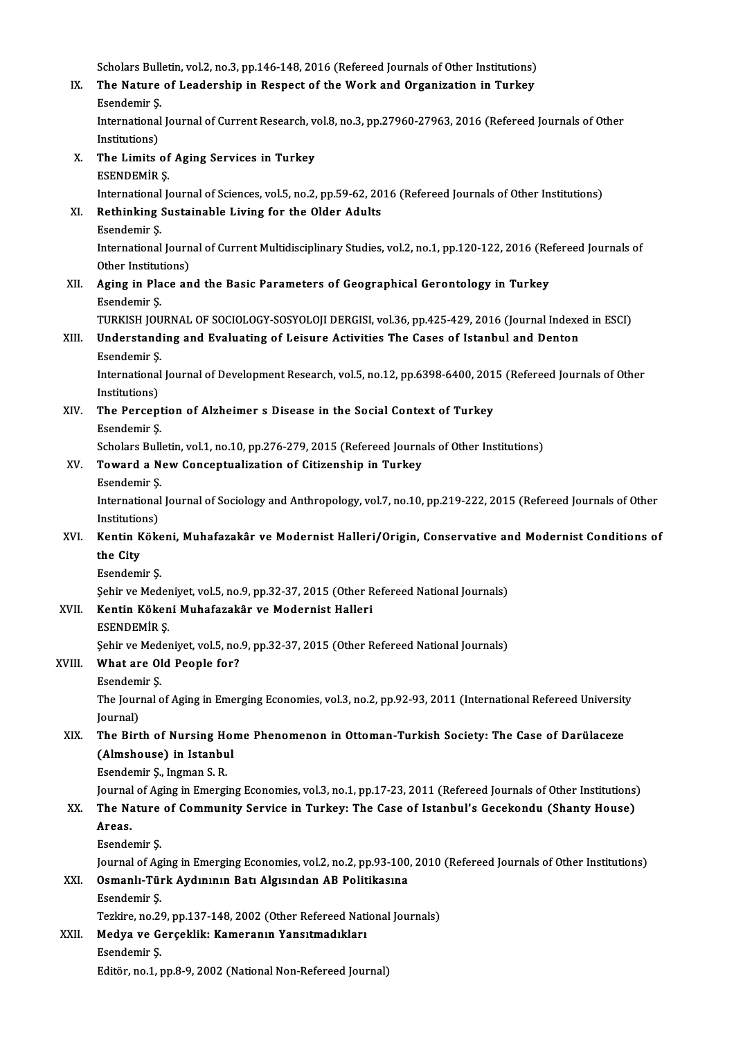Scholars Bulletin, vol.2, no.3, pp.146-148, 2016 (Refereed Journals of Other Institutions)<br>The Nature of Leadership in Beeneet of the Werk and Organization in Turkey

Scholars Bulletin, vol.2, no.3, pp.146-148, 2016 (Refereed Journals of Other Institutions)<br>IX. The Nature of Leadership in Respect of the Work and Organization in Turkey Scholars Bull<br>The Nature<br>Esendemir Ş. The Nature of Leadership in Respect of the Work and Organization in Turkey<br>Esendemir Ş.<br>International Journal of Current Research, vol.8, no.3, pp.27960-27963, 2016 (Refereed Journals of Other<br>Institutional Esendemir Ş.<br>International<br>Institutions)<br>The Limits

International Journal of Current Research, v<br>Institutions)<br>X. The Limits of Aging Services in Turkey<br>ESENDEMIR S Institutions)<br>The Limits of<br>ESENDEMİR Ş.<br>International Is ESENDEMIR \$.<br>International Journal of Sciences, vol.5, no.2, pp.59-62, 2016 (Refereed Journals of Other Institutions) ESENDEMIR \$.<br>International Journal of Sciences, vol.5, no.2, pp.59-62, 20<br>XI. Rethinking Sustainable Living for the Older Adults<br>Feendemir S. International<br>Rethinking :<br>Esendemir Ş.<br>International

Rethinking Sustainable Living for the Older Adults<br>Esendemir Ș.<br>International Journal of Current Multidisciplinary Studies, vol.2, no.1, pp.120-122, 2016 (Refereed Journals of<br>Other Institutions) Esendemir Ş.<br>International Journ<br>Other Institutions)<br>Aging in Place an International Journal of Current Multidisciplinary Studies, vol.2, no.1, pp.120-122, 2016 (Re<br>Other Institutions)<br>XII. Aging in Place and the Basic Parameters of Geographical Gerontology in Turkey<br>Feondomin S

## Other Institutions)<br>XII. Aging in Place and the Basic Parameters of Geographical Gerontology in Turkey<br>Esendemir Ş. Aging in Place and the Basic Parameters of Geographical Gerontology in Turkey<br>Esendemir Ş.<br>TURKISH JOURNAL OF SOCIOLOGY-SOSYOLOJI DERGISI, vol.36, pp.425-429, 2016 (Journal Indexed in ESCI)<br>Understanding and Evoluating of

## Esendemir Ş.<br>TURKISH JOURNAL OF SOCIOLOGY-SOSYOLOJI DERGISI, vol.36, pp.425-429, 2016 (Journal Indexe<br>XIII. Understanding and Evaluating of Leisure Activities The Cases of Istanbul and Denton TURKISH JOU<br>Understand<br>Esendemir Ş.<br>International

### Esendemir Ş

Understanding and Evaluating of Leisure Activities The Cases of Istanbul and Denton<br>Esendemir Ş.<br>International Journal of Development Research, vol.5, no.12, pp.6398-6400, 2015 (Refereed Journals of Other<br>Institutions) International Journal of Development Research, vol.5, no.12, pp.6398-6400, 201<br>Institutions)<br>XIV. The Perception of Alzheimer s Disease in the Social Context of Turkey<br>Feandamin S

Institutions)<br>The Percept<br>Esendemir Ş.<br>Scholars Bull The Perception of Alzheimer s Disease in the Social Context of Turkey<br>Esendemir S.<br>Scholars Bulletin, vol.1, no.10, pp.276-279, 2015 (Refereed Journals of Other Institutions)<br>Toward a Now Consentualization of Citizenship i Esendemir Ş.<br>Scholars Bulletin, vol.1, no.10, pp.276-279, 2015 (Refereed Journa<br>XV. Toward a New Conceptualization of Citizenship in Turkey

Scholars Bull<br>Toward a N<br>Esendemir Ş.<br>International

Toward a New Conceptualization of Citizenship in Turkey<br>Esendemir Ş.<br>International Journal of Sociology and Anthropology, vol.7, no.10, pp.219-222, 2015 (Refereed Journals of Other<br>Institutions) Esendemir Ş.<br>International<br>Institutions)<br>Kontin Kölv International Journal of Sociology and Anthropology, vol.7, no.10, pp.219-222, 2015 (Refereed Journals of Other<br>Institutions)<br>XVI. Kentin Kökeni, Muhafazakâr ve Modernist Halleri/Origin, Conservative and Modernist Conditio

## Institution<br>Kentin K<br>the City Kentin Köke<br>the City<br>Esendemir Ş.<br>Sebir ve Med the City<br>Esendemir Ş.<br>Şehir ve Medeniyet, vol.5, no.9, pp.32-37, 2015 (Other Refereed National Journals)<br>Kontin Kökeni Muhafarakân ve Medernist Halleri

## Esendemir Ş.<br>Şehir ve Medeniyet, vol.5, no.9, pp.32-37, 2015 (Other R<br>XVII. Kentin Kökeni Muhafazakâr ve Modernist Halleri<br>ESENDEMIR S Şehir ve Meder<br><mark>Kentin Köken</mark><br>ESENDEMİR Ş.<br>Sebir ve Meder

Kentin Kökeni Muhafazakâr ve Modernist Halleri<br>ESENDEMİR Ş.<br>Şehir ve Medeniyet, vol.5, no.9, pp.32-37, 2015 (Other Refereed National Journals)<br>What are Old Beerle fer?

## ESENDEMIR \$.<br>\$ehir ve Medeniyet, vol.5, no.<br>XVIII. What are Old People for? Sehir ve Med<br>What are Ol<br>Esendemir Ş.<br>The Jounnal e

#### Esendemir Ş.

The Journal of Aging in Emerging Economies, vol.3, no.2, pp.92-93, 2011 (International Refereed University Journal) The Journal of Aging in Emerging Economies, vol.3, no.2, pp.92-93, 2011 (International Refereed University<br>Journal)<br>XIX. The Birth of Nursing Home Phenomenon in Ottoman-Turkish Society: The Case of Darülaceze

## Journal)<br>The Birth of Nursing Hom<br>(Almshouse) in Istanbul<br>Econdomir S. Ingman S. B The Birth of Nursing He<br>(Almshouse) in Istanbu<br>Esendemir Ş., Ingman S. R.<br>Journal of Aging in Emergi (Almshouse) in Istanbul<br>Esendemir Ş., Ingman S. R.<br>Journal of Aging in Emerging Economies, vol.3, no.1, pp.17-23, 2011 (Refereed Journals of Other Institutions)<br>The Nature of Community Service in Turkey, The Case of Istanb

## Esendemir Ş., Ingman S. R.<br>Journal of Aging in Emerging Economies, vol.3, no.1, pp.17-23, 2011 (Refereed Journals of Other Institutions)<br>XX. The Nature of Community Service in Turkey: The Case of Istanbul's Gecekondu ( Journal<br><mark>The Na</mark><br>Areas.<br>Esende The Nature<br>Areas.<br>Esendemir Ş.<br>Journal of Ag

Areas.<br>Esendemir Ş.<br>Journal of Aging in Emerging Economies, vol.2, no.2, pp.93-100, 2010 (Refereed Journals of Other Institutions)<br>Qamanlı Türk Avdınının Batı Algısından AB Bolitikasına

### Esendemir Ş.<br>Journal of Aging in Emerging Economies, vol.2, no.2, pp.93-100<br>XXI. Osmanlı-Türk Aydınının Batı Algısından AB Politikasına<br>Esendemir Ş. Journal of Ag<br>**Osmanlı-Tür**<br>Esendemir Ş.<br>Terkina na <sup>26</sup> Osmanlı-Türk Aydınının Batı Algısından AB Politikasına<br>Esendemir Ş.<br>Tezkire, no.29, pp.137-148, 2002 (Other Refereed National Journals)<br>Medya ve Canaaklikı Kamananın Yanaıtmadıkları Esendemir Ş.<br>Tezkire, no.29, pp.137-148, 2002 (Other Refereed Nati<br>XXII. Medya ve Gerçeklik: Kameranın Yansıtmadıkları

## Tezkire, no.29<br>**Medya ve G<br>Esendemir Ş.<br>Editën no.1** Medya ve Gerçeklik: Kameranın Yansıtmadıkları<br>Esendemir Ş.<br>Editör, no.1, pp.8-9, 2002 (National Non-Refereed Journal)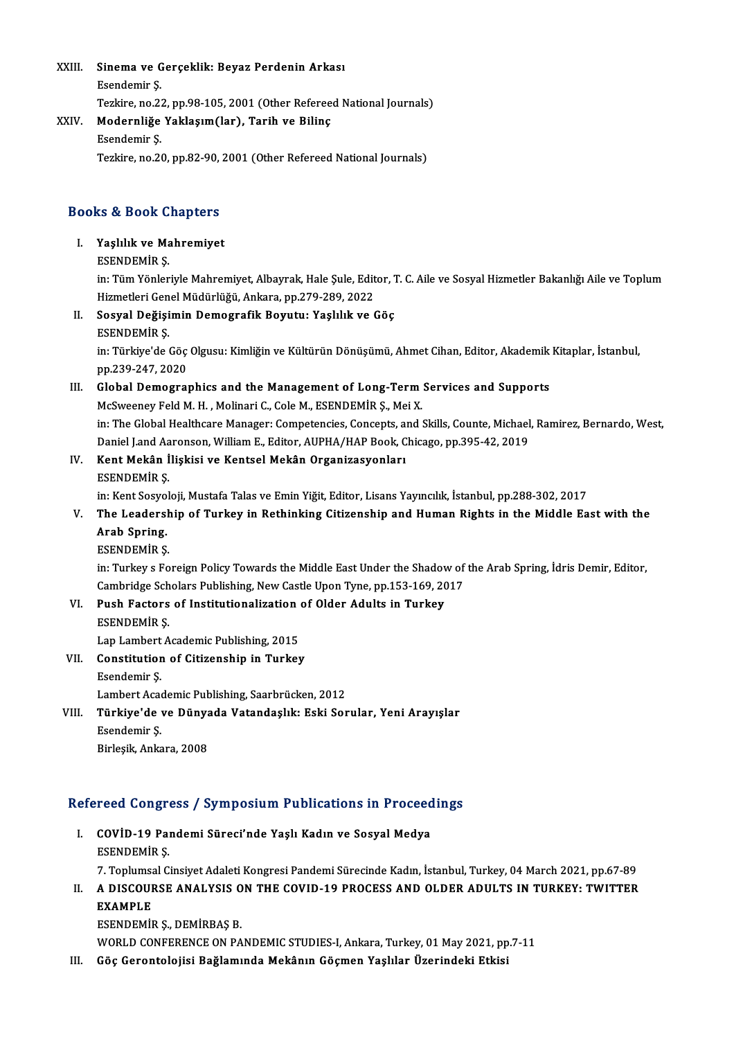### XXIII. Sinema ve Gerçeklik: Beyaz Perdenin Arkası<br>Feendemin S Sinema ve G<br>Esendemir Ş.<br>Terkine ne 22 Esendemir Ş.<br>Tezkire, no.22, pp.98-105, 2001 (Other Refereed National Journals)

#### XXIV. Modernliğe Yaklaşım(lar), Tarih ve Bilinç

#### Esendemir Ş.

Tezkire, no.20, pp.82-90, 2001 (Other Refereed National Journals)

## 1ezkire, no.20, pp.82-90,<br>Books & Book Chapters OOks & Book Chapters<br>I. Yaşlılık ve Mahremiyet<br>ESENDEMİR S

### I. Yaşlılık ve Mahremiyet<br>ESENDEMİR Ş.

Yaşlılık ve Mahremiyet<br>ESENDEMİR Ş.<br>in: Tüm Yönleriyle Mahremiyet, Albayrak, Hale Şule, Editor, T. C. Aile ve Sosyal Hizmetler Bakanlığı Aile ve Toplum<br>Hirmetleri Cenel Müdürlüğü, Ankara, pp.279, 289, 2022 ESENDEMİR Ş.<br>in: Tüm Yönleriyle Mahremiyet, Albayrak, Hale Şule, Edit<br>Hizmetleri Genel Müdürlüğü, Ankara, pp.279-289, 2022<br>Sesyal Doğisimin Demosrafik Boyutu; Yaslılık ve ( Hizmetleri Genel Müdürlüğü, Ankara, pp.279-289, 2022

II. Sosyal Değişimin Demografik Boyutu: Yaşlılık ve Göç<br>ESENDEMİR S.

Sosyal Değişimin Demografik Boyutu: Yaşlılık ve Göç<br>ESENDEMİR Ş.<br>in: Türkiye'de Göç Olgusu: Kimliğin ve Kültürün Dönüşümü, Ahmet Cihan, Editor, Akademik Kitaplar, İstanbul,<br>nn 220 247 2020 ESENDEMIR Ş.<br>in: Türkiye'de Göç<br>pp.239-247, 2020<br>Slabal Damasına in: Türkiye'de Göç Olgusu: Kimliğin ve Kültürün Dönüşümü, Ahmet Cihan, Editor, Akademik<br>pp.239-247, 2020<br>III. Global Demographics and the Management of Long-Term Services and Supports<br>MeSureneu Feld M. H. Melineri G. Gele

## pp.239-247, 2020<br>III. Global Demographics and the Management of Long-Term Services and Supports<br>McSweeney Feld M. H. , Molinari C., Cole M., ESENDEMİR Ş., Mei X.

Global Demographics and the Management of Long-Term Services and Supports<br>McSweeney Feld M. H. , Molinari C., Cole M., ESENDEMİR Ş., Mei X.<br>in: The Global Healthcare Manager: Competencies, Concepts, and Skills, Counte, Mic McSweeney Feld M. H. , Molinari C., Cole M., ESENDEMİR Ş., Mei X.<br>in: The Global Healthcare Manager: Competencies, Concepts, and Skills, Counte, Michael<br>Daniel J.and Aaronson, William E., Editor, AUPHA/HAP Book, Chicago, p in: The Global Healthcare Manager: Competencies, Concepts, a:<br>Daniel J.and Aaronson, William E., Editor, AUPHA/HAP Book, C<br>IV. Kent Mekân İlişkisi ve Kentsel Mekân Organizasyonları<br>ESENDEMİR S

# Daniel J.and Aa<br>**Kent Mekân İ**<br>ESENDEMİR Ş.<br>in:*V*ont Sosvol

ESENDEMİR Ş.<br>in: Kent Sosyoloji, Mustafa Talas ve Emin Yiğit, Editor, Lisans Yayıncılık, İstanbul, pp.288-302, 2017

## ESENDEMIR Ș.<br>in: Kent Sosyoloji, Mustafa Talas ve Emin Yiğit, Editor, Lisans Yayıncılık, İstanbul, pp.288-302, 2017<br>V. The Leadership of Turkey in Rethinking Citizenship and Human Rights in the Middle East with the<br>Ara in: Kent Sosyo<br><mark>The Leaders!</mark><br>Arab Spring.<br>ЕСЕМОЕМ<sup>ір</sup> S The Leadersh<br>Arab Spring.<br>ESENDEMİR Ş.

Arab Spring.<br>ESENDEMİR Ş.<br>in: Turkey s Foreign Policy Towards the Middle East Under the Shadow of the Arab Spring, İdris Demir, Editor, ESENDEMİR Ş.<br>in: Turkey s Foreign Policy Towards the Middle East Under the Shadow of<br>Cambridge Scholars Publishing, New Castle Upon Tyne, pp.153-169, 2017<br>Push Fostars of Institutionalization of Olden Adults in Turkey. in: Turkey s Foreign Policy Towards the Middle East Under the Shadov<br>Cambridge Scholars Publishing, New Castle Upon Tyne, pp.153-169, 20<br>VI. Push Factors of Institutionalization of Older Adults in Turkey

Cambridge Sch<br>Push Factors<br>ESENDEMİR Ş.<br>Lan Lambart A VI. Push Factors of Institutionalization of Older Adults in Turkey<br>ESENDEMIR \$.<br>Lap Lambert Academic Publishing, 2015

ESENDEMIR \$.<br>Lap Lambert Academic Publishing, 2015<br>VII. Constitution of Citizenship in Turkey Lap Lambert<br>Constitutior<br>Esendemir Ş. Constitution of Citizenship in Turkey<br>Esendemir Ş.<br>Lambert Academic Publishing, Saarbrücken, 2012<br>Türkiye'de ve Dünyada Vatandaslıkı Eski Ser

## Esendemir Ş.<br>Lambert Academic Publishing, Saarbrücken, 2012<br>VIII. Türkiye'de ve Dünyada Vatandaşlık: Eski Sorular, Yeni Arayışlar<br>Fsendemir S Lambert Acae<br>**Türkiye'de**<br>Esendemir Ş.<br><sup>Birlosik Anka</sup> <mark>Türkiye'de ve Düny</mark>a<br>Esendemir Ş.<br>Birleşik, Ankara, 2008

# ыгіеяк, Апкага, 2008<br>Refereed Congress / Symposium Publications in Proceedings

efereed Congress / Symposium Publications in Proceed<br>I. COVID-19 Pandemi Süreci'nde Yaşlı Kadın ve Sosyal Medya<br>ESENDEMIR S I. COVİD-19 Pandemi Süreci'nde Yaşlı Kadın ve Sosyal Medya<br>ESENDEMİR S. COVİD-19 Pandemi Süreci'nde Yaşlı Kadın ve Sosyal Medya<br>ESENDEMİR Ş.<br>7. Toplumsal Cinsiyet Adaleti Kongresi Pandemi Sürecinde Kadın, İstanbul, Turkey, 04 March 2021, pp.67-89<br>A DISCOURSE ANALYSIS ON THE COVID 19 RROCESS AN

ESENDEMIR Ş.<br>7. Toplumsal Cinsiyet Adaleti Kongresi Pandemi Sürecinde Kadın, İstanbul, Turkey, 04 March 2021, pp.67-89<br>II. A DISCOURSE ANALYSIS ON THE COVID-19 PROCESS AND OLDER ADULTS IN TURKEY: TWITTER<br>EXAMPLE **7. Toplumsa<br>A DISCOUI<br>EXAMPLE**<br>ESENDEMII A DISCOURSE ANALYSIS O<br>EXAMPLE<br>ESENDEMİR Ş., DEMİRBAŞ B.<br>WOPLD CONFERENCE ON BA EXAMPLE<br>ESENDEMIR Ş., DEMIRBAŞ B.<br>WORLD CONFERENCE ON PANDEMIC STUDIES-I, Ankara, Turkey, 01 May 2021, pp.7-11

III. Göç Gerontolojisi Bağlamında Mekânın Göçmen Yaşlılar Üzerindeki Etkisi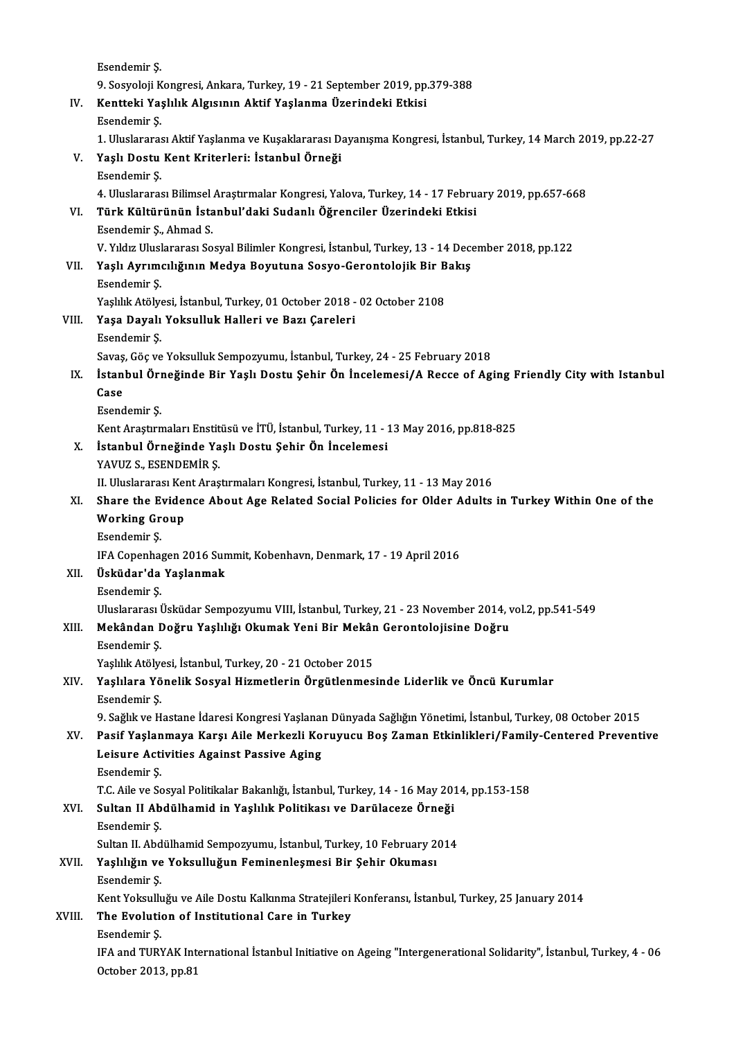|              | Esendemir Ş                                                                                                         |
|--------------|---------------------------------------------------------------------------------------------------------------------|
|              | 9. Sosyoloji Kongresi, Ankara, Turkey, 19 - 21 September 2019, pp.379-388                                           |
| IV.          | Kentteki Yaşlılık Algısının Aktif Yaşlanma Üzerindeki Etkisi                                                        |
|              | Esendemir Ş                                                                                                         |
|              | 1. Uluslararası Aktif Yaşlanma ve Kuşaklararası Dayanışma Kongresi, İstanbul, Turkey, 14 March 2019, pp.22-27       |
| V.           | Yaşlı Dostu Kent Kriterleri: İstanbul Örneği                                                                        |
|              | Esendemir Ş                                                                                                         |
|              | 4. Uluslararası Bilimsel Araştırmalar Kongresi, Yalova, Turkey, 14 - 17 February 2019, pp.657-668                   |
| VI.          | Türk Kültürünün İstanbul'daki Sudanlı Öğrenciler Üzerindeki Etkisi                                                  |
|              | Esendemir Ş., Ahmad S.                                                                                              |
|              | V. Yıldız Uluslararası Sosyal Bilimler Kongresi, İstanbul, Turkey, 13 - 14 December 2018, pp.122                    |
| VII.         | Yaşlı Ayrımcılığının Medya Boyutuna Sosyo-Gerontolojik Bir Bakış                                                    |
|              | Esendemir Ş                                                                                                         |
|              | Yaşlılık Atölyesi, İstanbul, Turkey, 01 October 2018 - 02 October 2108                                              |
| VIII.<br>IX. | Yaşa Dayalı Yoksulluk Halleri ve Bazı Çareleri                                                                      |
|              | Esendemir Ş                                                                                                         |
|              | Savaş, Göç ve Yoksulluk Sempozyumu, İstanbul, Turkey, 24 - 25 February 2018                                         |
|              | İstanbul Örneğinde Bir Yaşlı Dostu Şehir Ön İncelemesi/A Recce of Aging Friendly City with Istanbul                 |
|              | Case                                                                                                                |
|              | Esendemir Ş                                                                                                         |
|              | Kent Araştırmaları Enstitüsü ve İTÜ, İstanbul, Turkey, 11 - 13 May 2016, pp.818-825                                 |
| X.           | İstanbul Örneğinde Yaşlı Dostu Şehir Ön İncelemesi                                                                  |
|              | YAVUZ S., ESENDEMİR Ş.                                                                                              |
|              | II. Uluslararası Kent Araştırmaları Kongresi, İstanbul, Turkey, 11 - 13 May 2016                                    |
| XI.          | Share the Evidence About Age Related Social Policies for Older Adults in Turkey Within One of the                   |
|              | <b>Working Group</b>                                                                                                |
|              | Esendemir Ş.                                                                                                        |
|              | IFA Copenhagen 2016 Summit, Kobenhavn, Denmark, 17 - 19 April 2016                                                  |
| XII.         | Üsküdar'da Yaşlanmak                                                                                                |
|              | Esendemir Ş                                                                                                         |
|              | Uluslararası Üsküdar Sempozyumu VIII, İstanbul, Turkey, 21 - 23 November 2014, vol.2, pp.541-549                    |
| XIII.        | Mekândan Doğru Yaşlılığı Okumak Yeni Bir Mekân Gerontolojisine Doğru                                                |
|              | Esendemir Ş                                                                                                         |
|              | Yaşlılık Atölyesi, İstanbul, Turkey, 20 - 21 October 2015                                                           |
| XIV.<br>XV.  | Yaşlılara Yönelik Sosyal Hizmetlerin Örgütlenmesinde Liderlik ve Öncü Kurumlar                                      |
|              | Esendemir Ş                                                                                                         |
|              | 9. Sağlık ve Hastane İdaresi Kongresi Yaşlanan Dünyada Sağlığın Yönetimi, İstanbul, Turkey, 08 October 2015         |
|              | Pasif Yaşlanmaya Karşı Aile Merkezli Koruyucu Boş Zaman Etkinlikleri/Family-Centered Preventive                     |
|              | Leisure Activities Against Passive Aging                                                                            |
|              | Esendemir Ş.                                                                                                        |
|              | T.C. Aile ve Sosyal Politikalar Bakanlığı, İstanbul, Turkey, 14 - 16 May 2014, pp.153-158                           |
| XVI.         | Sultan II Abdülhamid in Yaşlılık Politikası ve Darülaceze Örneği                                                    |
|              | Esendemir Ş                                                                                                         |
|              | Sultan II. Abdülhamid Sempozyumu, İstanbul, Turkey, 10 February 2014                                                |
| XVII.        | Yaşlılığın ve Yoksulluğun Feminenleşmesi Bir Şehir Okuması                                                          |
|              | Esendemir Ş.                                                                                                        |
|              | Kent Yoksulluğu ve Aile Dostu Kalkınma Stratejileri Konferansı, İstanbul, Turkey, 25 January 2014                   |
| XVIII.       | The Evolution of Institutional Care in Turkey                                                                       |
|              | Esendemir Ş                                                                                                         |
|              | IFA and TURYAK International İstanbul Initiative on Ageing "Intergenerational Solidarity", İstanbul, Turkey, 4 - 06 |
|              | October 2013, pp 81                                                                                                 |